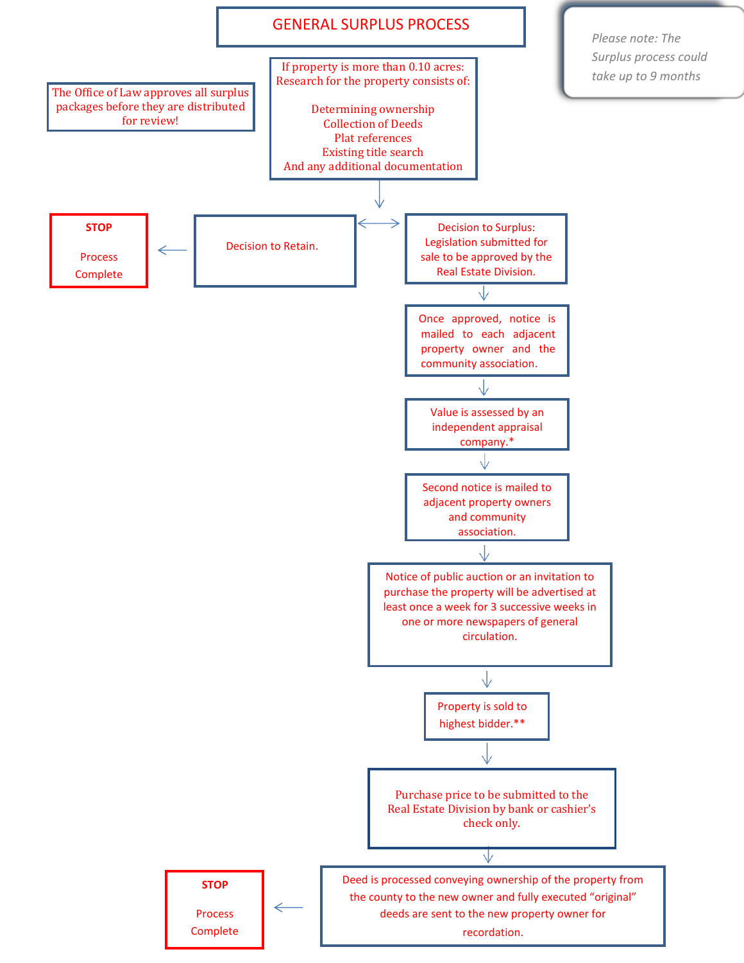